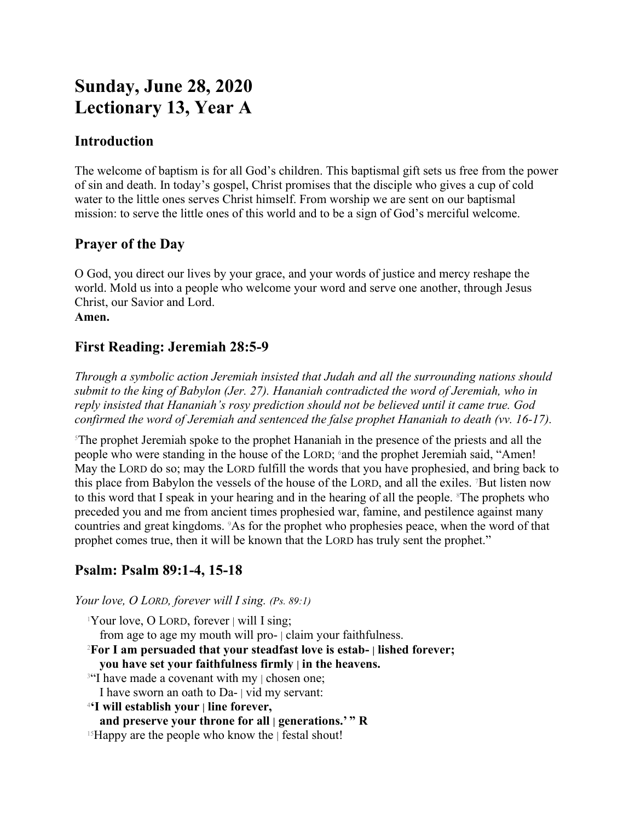# **Sunday, June 28, 2020 Lectionary 13, Year A**

### **Introduction**

The welcome of baptism is for all God's children. This baptismal gift sets us free from the power of sin and death. In today's gospel, Christ promises that the disciple who gives a cup of cold water to the little ones serves Christ himself. From worship we are sent on our baptismal mission: to serve the little ones of this world and to be a sign of God's merciful welcome.

# **Prayer of the Day**

O God, you direct our lives by your grace, and your words of justice and mercy reshape the world. Mold us into a people who welcome your word and serve one another, through Jesus Christ, our Savior and Lord.

**Amen.**

# **First Reading: Jeremiah 28:5-9**

*Through a symbolic action Jeremiah insisted that Judah and all the surrounding nations should submit to the king of Babylon (Jer. 27). Hananiah contradicted the word of Jeremiah, who in reply insisted that Hananiah's rosy prediction should not be believed until it came true. God confirmed the word of Jeremiah and sentenced the false prophet Hananiah to death (vv. 16-17).*

<sup>5</sup>The prophet Jeremiah spoke to the prophet Hananiah in the presence of the priests and all the people who were standing in the house of the LORD; and the prophet Jeremiah said, "Amen! May the LORD do so; may the LORD fulfill the words that you have prophesied, and bring back to this place from Babylon the vessels of the house of the LORD, and all the exiles. 7But listen now to this word that I speak in your hearing and in the hearing of all the people. <sup>8</sup>The prophets who preceded you and me from ancient times prophesied war, famine, and pestilence against many countries and great kingdoms. 9As for the prophet who prophesies peace, when the word of that prophet comes true, then it will be known that the LORD has truly sent the prophet."

# **Psalm: Psalm 89:1-4, 15-18**

*Your love, O LORD, forever will I sing. (Ps. 89:1)*

 $1$ Your love, O LORD, forever  $|$  will I sing; from age to age my mouth will pro- | claim your faithfulness. <sup>2</sup>**For I am persuaded that your steadfast love is estab- | lished forever; you have set your faithfulness firmly | in the heavens.** <sup>3"</sup>I have made a covenant with my | chosen one; I have sworn an oath to Da- | vid my servant: 4 **'I will establish your | line forever, and preserve your throne for all | generations.' " R** <sup>15</sup>Happy are the people who know the | festal shout!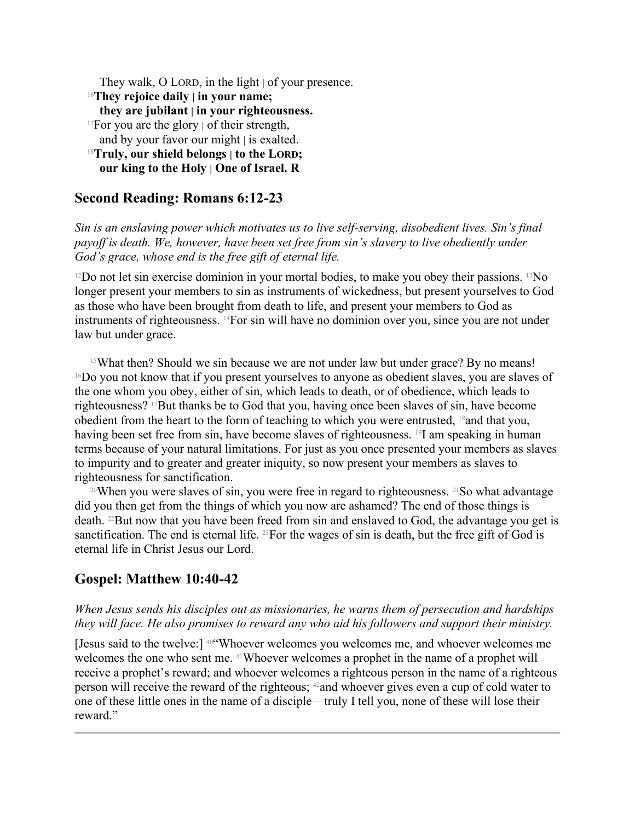They walk, O LORD, in the light | of your presence. <sup>16</sup>**They rejoice daily | in your name; they are jubilant | in your righteousness.** <sup>17</sup>For you are the glory  $\vert$  of their strength,

and by your favor our might | is exalted. <sup>18</sup>**Truly, our shield belongs | to the LORD;**

**our king to the Holy | One of Israel. R**

### **Second Reading: Romans 6:12-23**

*Sin is an enslaving power which motivates us to live self-serving, disobedient lives. Sin's final payoff is death. We, however, have been set free from sin's slavery to live obediently under God's grace, whose end is the free gift of eternal life.*

<sup>12</sup>Do not let sin exercise dominion in your mortal bodies, to make you obey their passions. <sup>13</sup>No longer present your members to sin as instruments of wickedness, but present yourselves to God as those who have been brought from death to life, and present your members to God as instruments of righteousness. 14For sin will have no dominion over you, since you are not under law but under grace.

<sup>15</sup>What then? Should we sin because we are not under law but under grace? By no means!  $16$ Do you not know that if you present yourselves to anyone as obedient slaves, you are slaves of the one whom you obey, either of sin, which leads to death, or of obedience, which leads to righteousness? 17But thanks be to God that you, having once been slaves of sin, have become obedient from the heart to the form of teaching to which you were entrusted, 18and that you, having been set free from sin, have become slaves of righteousness. <sup>19</sup>I am speaking in human terms because of your natural limitations. For just as you once presented your members as slaves to impurity and to greater and greater iniquity, so now present your members as slaves to righteousness for sanctification.

<sup>20</sup>When you were slaves of sin, you were free in regard to righteousness. <sup>21</sup>So what advantage did you then get from the things of which you now are ashamed? The end of those things is death. 22But now that you have been freed from sin and enslaved to God, the advantage you get is sanctification. The end is eternal life. <sup>23</sup>For the wages of sin is death, but the free gift of God is eternal life in Christ Jesus our Lord.

### **Gospel: Matthew 10:40-42**

#### *When Jesus sends his disciples out as missionaries, he warns them of persecution and hardships they will face. He also promises to reward any who aid his followers and support their ministry.*

[Jesus said to the twelve:] 40"Whoever welcomes you welcomes me, and whoever welcomes me welcomes the one who sent me. 41Whoever welcomes a prophet in the name of a prophet will receive a prophet's reward; and whoever welcomes a righteous person in the name of a righteous person will receive the reward of the righteous; 42and whoever gives even a cup of cold water to one of these little ones in the name of a disciple—truly I tell you, none of these will lose their reward."